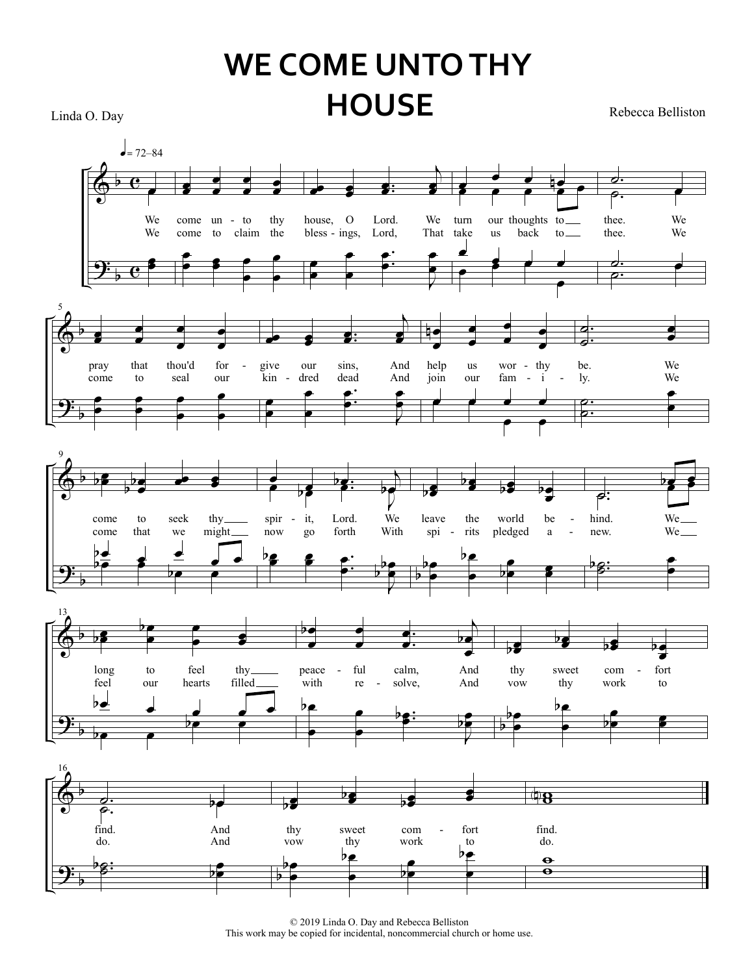# **WE COME UNTO THY HOUSE** Rebecca Belliston

Linda O. Day



© 2019 Linda O. Day and Rebecca Belliston This work may be copied for incidental, noncommercial church or home use.